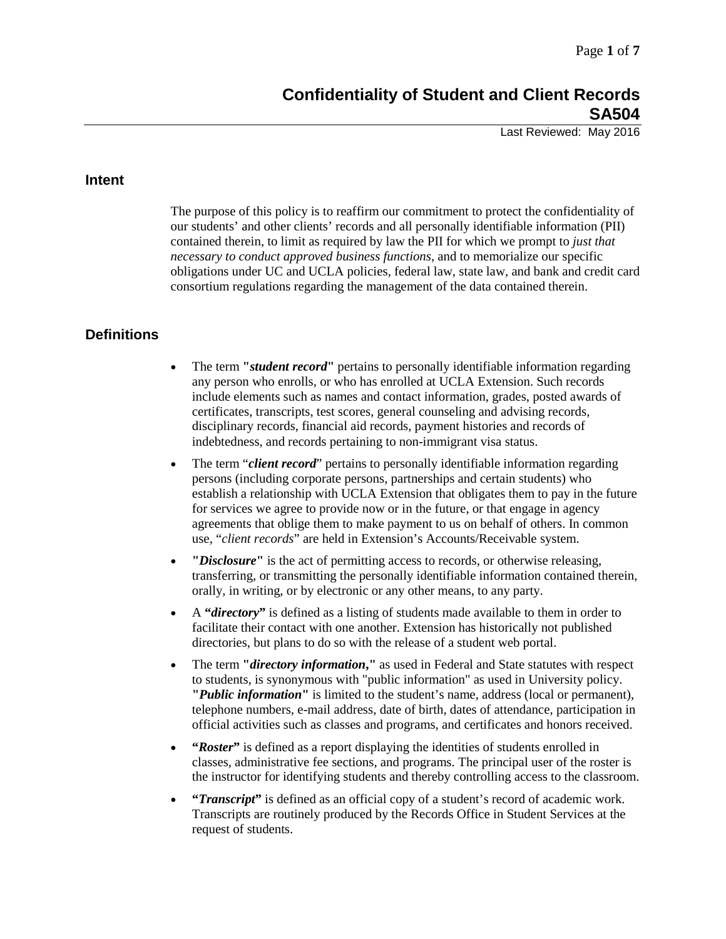# **Confidentiality of Student and Client Records SA504**

Last Reviewed: May 2016

## **Intent**

The purpose of this policy is to reaffirm our commitment to protect the confidentiality of our students' and other clients' records and all personally identifiable information (PII) contained therein, to limit as required by law the PII for which we prompt to *just that necessary to conduct approved business functions*, and to memorialize our specific obligations under UC and UCLA policies, federal law, state law, and bank and credit card consortium regulations regarding the management of the data contained therein.

## **Definitions**

- The term "*student record*" pertains to personally identifiable information regarding any person who enrolls, or who has enrolled at UCLA Extension. Such records include elements such as names and contact information, grades, posted awards of certificates, transcripts, test scores, general counseling and advising records, disciplinary records, financial aid records, payment histories and records of indebtedness, and records pertaining to non-immigrant visa status.
- The term "*client record*" pertains to personally identifiable information regarding persons (including corporate persons, partnerships and certain students) who establish a relationship with UCLA Extension that obligates them to pay in the future for services we agree to provide now or in the future, or that engage in agency agreements that oblige them to make payment to us on behalf of others. In common use, "*client records*" are held in Extension's Accounts/Receivable system.
- **"***Disclosure***"** is the act of permitting access to records, or otherwise releasing, transferring, or transmitting the personally identifiable information contained therein, orally, in writing, or by electronic or any other means, to any party.
- A **"***directory***"** is defined as a listing of students made available to them in order to facilitate their contact with one another. Extension has historically not published directories, but plans to do so with the release of a student web portal.
- The term **"***directory information***,"** as used in Federal and State statutes with respect to students, is synonymous with "public information" as used in University policy. **"***Public information***"** is limited to the student's name, address (local or permanent), telephone numbers, e-mail address, date of birth, dates of attendance, participation in official activities such as classes and programs, and certificates and honors received.
- **"***Roster***"** is defined as a report displaying the identities of students enrolled in classes, administrative fee sections, and programs. The principal user of the roster is the instructor for identifying students and thereby controlling access to the classroom.
- **"***Transcript***"** is defined as an official copy of a student's record of academic work. Transcripts are routinely produced by the Records Office in Student Services at the request of students.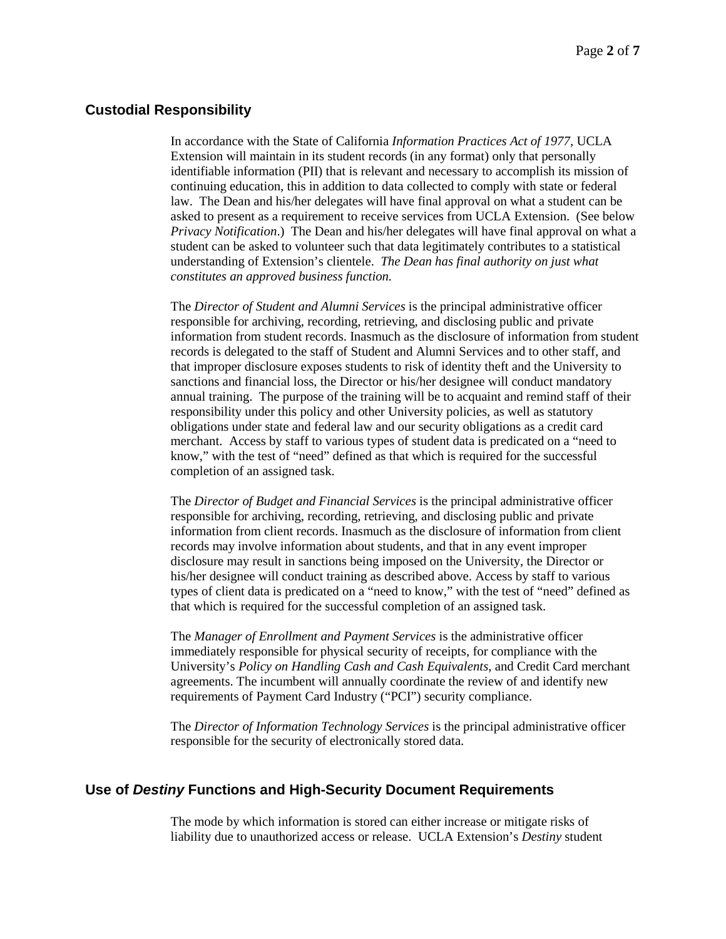#### **Custodial Responsibility**

In accordance with the State of California *Information Practices Act of 1977,* UCLA Extension will maintain in its student records (in any format) only that personally identifiable information (PII) that is relevant and necessary to accomplish its mission of continuing education, this in addition to data collected to comply with state or federal law. The Dean and his/her delegates will have final approval on what a student can be asked to present as a requirement to receive services from UCLA Extension. (See below *Privacy Notification*.) The Dean and his/her delegates will have final approval on what a student can be asked to volunteer such that data legitimately contributes to a statistical understanding of Extension's clientele. *The Dean has final authority on just what constitutes an approved business function.*

The *Director of Student and Alumni Services* is the principal administrative officer responsible for archiving, recording, retrieving, and disclosing public and private information from student records. Inasmuch as the disclosure of information from student records is delegated to the staff of Student and Alumni Services and to other staff, and that improper disclosure exposes students to risk of identity theft and the University to sanctions and financial loss, the Director or his/her designee will conduct mandatory annual training. The purpose of the training will be to acquaint and remind staff of their responsibility under this policy and other University policies, as well as statutory obligations under state and federal law and our security obligations as a credit card merchant. Access by staff to various types of student data is predicated on a "need to know," with the test of "need" defined as that which is required for the successful completion of an assigned task.

The *Director of Budget and Financial Services* is the principal administrative officer responsible for archiving, recording, retrieving, and disclosing public and private information from client records. Inasmuch as the disclosure of information from client records may involve information about students, and that in any event improper disclosure may result in sanctions being imposed on the University, the Director or his/her designee will conduct training as described above. Access by staff to various types of client data is predicated on a "need to know," with the test of "need" defined as that which is required for the successful completion of an assigned task.

The *Manager of Enrollment and Payment Services* is the administrative officer immediately responsible for physical security of receipts, for compliance with the University's *Policy on Handling Cash and Cash Equivalents*, and Credit Card merchant agreements. The incumbent will annually coordinate the review of and identify new requirements of Payment Card Industry ("PCI") security compliance.

The *Director of Information Technology Services* is the principal administrative officer responsible for the security of electronically stored data.

### **Use of** *Destiny* **Functions and High-Security Document Requirements**

The mode by which information is stored can either increase or mitigate risks of liability due to unauthorized access or release. UCLA Extension's *Destiny* student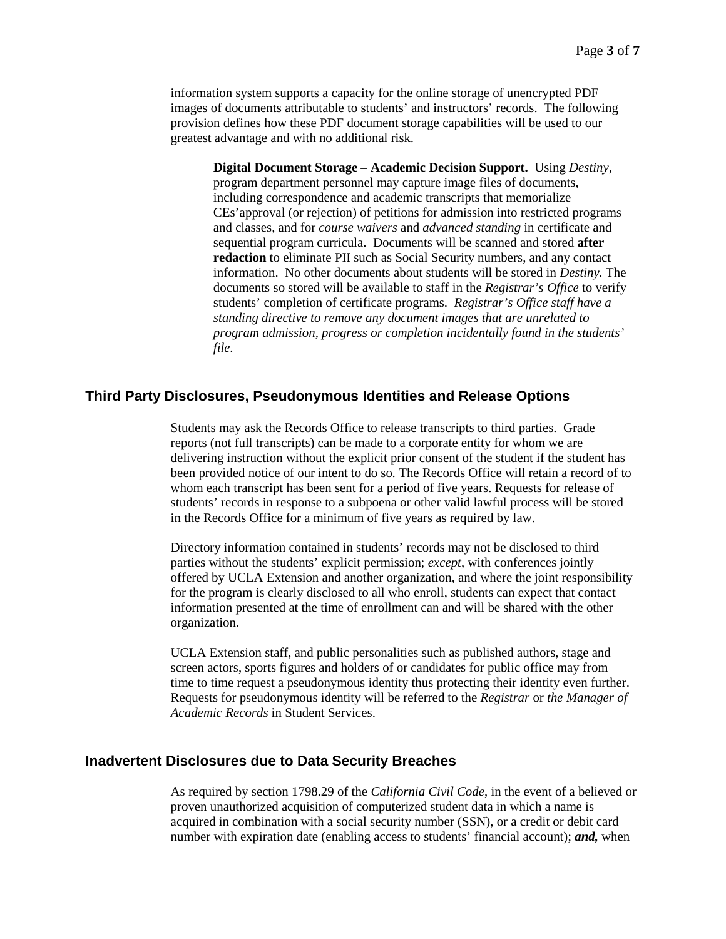information system supports a capacity for the online storage of unencrypted PDF images of documents attributable to students' and instructors' records. The following provision defines how these PDF document storage capabilities will be used to our greatest advantage and with no additional risk.

**Digital Document Storage – Academic Decision Support.** Using *Destiny*, program department personnel may capture image files of documents, including correspondence and academic transcripts that memorialize CEs'approval (or rejection) of petitions for admission into restricted programs and classes, and for *course waivers* and *advanced standing* in certificate and sequential program curricula. Documents will be scanned and stored **after redaction** to eliminate PII such as Social Security numbers, and any contact information. No other documents about students will be stored in *Destiny.* The documents so stored will be available to staff in the *Registrar's Office* to verify students' completion of certificate programs. *Registrar's Office staff have a standing directive to remove any document images that are unrelated to program admission, progress or completion incidentally found in the students' file.*

#### **Third Party Disclosures, Pseudonymous Identities and Release Options**

Students may ask the Records Office to release transcripts to third parties. Grade reports (not full transcripts) can be made to a corporate entity for whom we are delivering instruction without the explicit prior consent of the student if the student has been provided notice of our intent to do so*.* The Records Office will retain a record of to whom each transcript has been sent for a period of five years. Requests for release of students' records in response to a subpoena or other valid lawful process will be stored in the Records Office for a minimum of five years as required by law.

Directory information contained in students' records may not be disclosed to third parties without the students' explicit permission; *except*, with conferences jointly offered by UCLA Extension and another organization, and where the joint responsibility for the program is clearly disclosed to all who enroll, students can expect that contact information presented at the time of enrollment can and will be shared with the other organization.

UCLA Extension staff, and public personalities such as published authors, stage and screen actors, sports figures and holders of or candidates for public office may from time to time request a pseudonymous identity thus protecting their identity even further. Requests for pseudonymous identity will be referred to the *Registrar* or *the Manager of Academic Records* in Student Services.

#### **Inadvertent Disclosures due to Data Security Breaches**

As required by section 1798.29 of the *California Civil Code*, in the event of a believed or proven unauthorized acquisition of computerized student data in which a name is acquired in combination with a social security number (SSN), or a credit or debit card number with expiration date (enabling access to students' financial account); *and,* when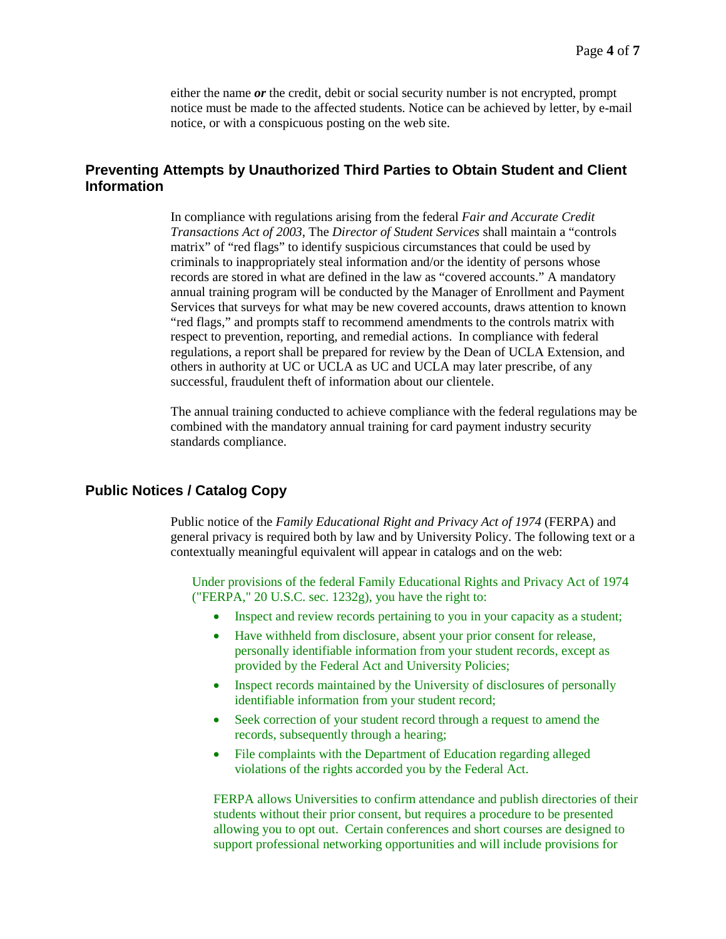either the name *or* the credit, debit or social security number is not encrypted, prompt notice must be made to the affected students. Notice can be achieved by letter, by e-mail notice, or with a conspicuous posting on the web site.

## **Preventing Attempts by Unauthorized Third Parties to Obtain Student and Client Information**

In compliance with regulations arising from the federal *Fair and Accurate Credit Transactions Act of 2003*, The *Director of Student Services* shall maintain a "controls matrix" of "red flags" to identify suspicious circumstances that could be used by criminals to inappropriately steal information and/or the identity of persons whose records are stored in what are defined in the law as "covered accounts." A mandatory annual training program will be conducted by the Manager of Enrollment and Payment Services that surveys for what may be new covered accounts, draws attention to known "red flags," and prompts staff to recommend amendments to the controls matrix with respect to prevention, reporting, and remedial actions. In compliance with federal regulations, a report shall be prepared for review by the Dean of UCLA Extension, and others in authority at UC or UCLA as UC and UCLA may later prescribe, of any successful, fraudulent theft of information about our clientele.

The annual training conducted to achieve compliance with the federal regulations may be combined with the mandatory annual training for card payment industry security standards compliance.

## **Public Notices / Catalog Copy**

Public notice of the *Family Educational Right and Privacy Act of 1974* (FERPA) and general privacy is required both by law and by University Policy. The following text or a contextually meaningful equivalent will appear in catalogs and on the web:

Under provisions of the federal Family Educational Rights and Privacy Act of 1974 ("FERPA," 20 U.S.C. sec. 1232g), you have the right to:

- Inspect and review records pertaining to you in your capacity as a student;
- Have withheld from disclosure, absent your prior consent for release, personally identifiable information from your student records, except as provided by the Federal Act and University Policies;
- Inspect records maintained by the University of disclosures of personally identifiable information from your student record;
- Seek correction of your student record through a request to amend the records, subsequently through a hearing;
- File complaints with the Department of Education regarding alleged violations of the rights accorded you by the Federal Act.

FERPA allows Universities to confirm attendance and publish directories of their students without their prior consent, but requires a procedure to be presented allowing you to opt out. Certain conferences and short courses are designed to support professional networking opportunities and will include provisions for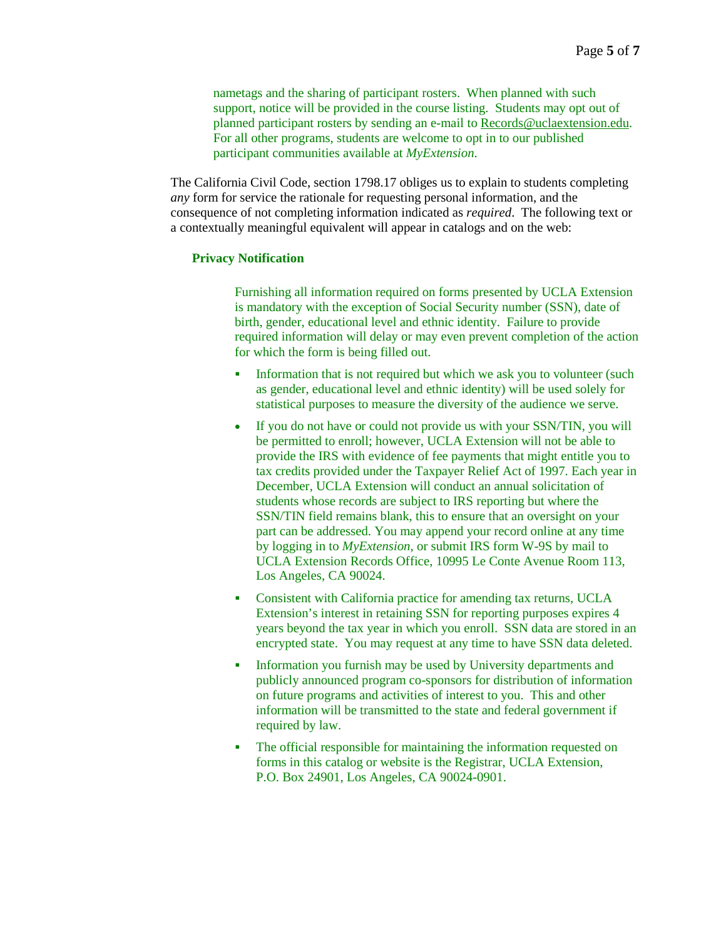nametags and the sharing of participant rosters. When planned with such support, notice will be provided in the course listing. Students may opt out of planned participant rosters by sending an e-mail to [Records@uclaextension.edu.](mailto:Records@uclaextension.edu) For all other programs, students are welcome to opt in to our published participant communities available at *MyExtension*.

The California Civil Code, section 1798.17 obliges us to explain to students completing *any* form for service the rationale for requesting personal information, and the consequence of not completing information indicated as *required*. The following text or a contextually meaningful equivalent will appear in catalogs and on the web:

#### **Privacy Notification**

Furnishing all information required on forms presented by UCLA Extension is mandatory with the exception of Social Security number (SSN), date of birth, gender, educational level and ethnic identity. Failure to provide required information will delay or may even prevent completion of the action for which the form is being filled out.

- Information that is not required but which we ask you to volunteer (such as gender, educational level and ethnic identity) will be used solely for statistical purposes to measure the diversity of the audience we serve.
- If you do not have or could not provide us with your SSN/TIN, you will be permitted to enroll; however, UCLA Extension will not be able to provide the IRS with evidence of fee payments that might entitle you to tax credits provided under the Taxpayer Relief Act of 1997. Each year in December, UCLA Extension will conduct an annual solicitation of students whose records are subject to IRS reporting but where the SSN/TIN field remains blank, this to ensure that an oversight on your part can be addressed. You may append your record online at any time by logging in to *MyExtension*, or submit IRS form W-9S by mail to UCLA Extension Records Office, 10995 Le Conte Avenue Room 113, Los Angeles, CA 90024.
- Consistent with California practice for amending tax returns, UCLA Extension's interest in retaining SSN for reporting purposes expires 4 years beyond the tax year in which you enroll. SSN data are stored in an encrypted state. You may request at any time to have SSN data deleted.
- **Information you furnish may be used by University departments and** publicly announced program co-sponsors for distribution of information on future programs and activities of interest to you. This and other information will be transmitted to the state and federal government if required by law.
- The official responsible for maintaining the information requested on forms in this catalog or website is the Registrar, UCLA Extension, P.O. Box 24901, Los Angeles, CA 90024-0901.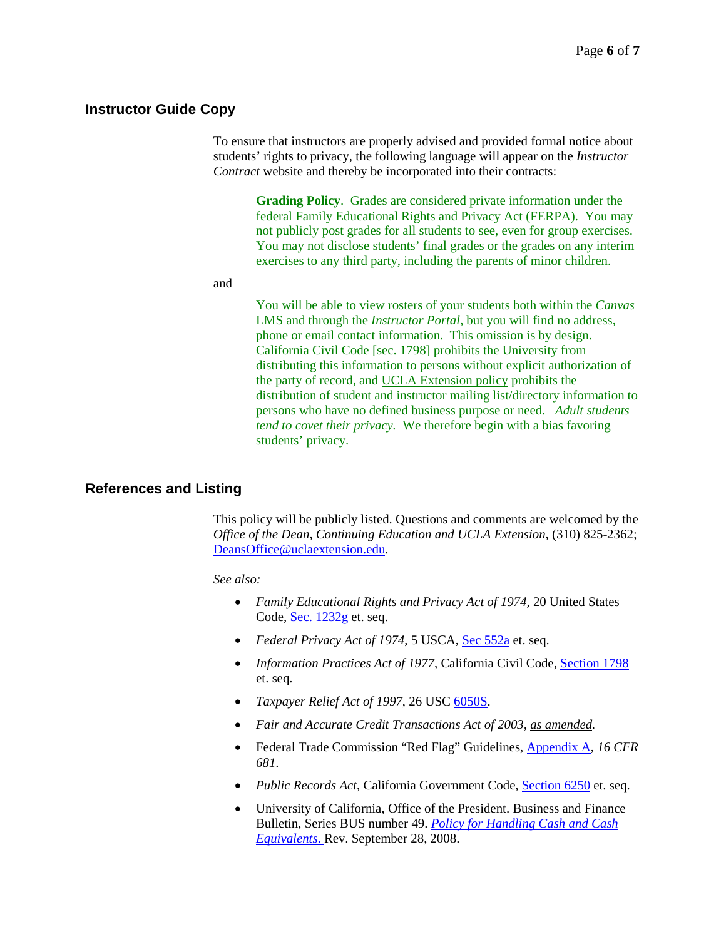### **Instructor Guide Copy**

To ensure that instructors are properly advised and provided formal notice about students' rights to privacy, the following language will appear on the *Instructor Contract* website and thereby be incorporated into their contracts:

> **Grading Policy**. Grades are considered private information under the federal Family Educational Rights and Privacy Act (FERPA). You may not publicly post grades for all students to see, even for group exercises. You may not disclose students' final grades or the grades on any interim exercises to any third party, including the parents of minor children.

and

You will be able to view rosters of your students both within the *Canvas* LMS and through the *Instructor Portal*, but you will find no address, phone or email contact information. This omission is by design. California Civil Code [sec. 1798] prohibits the University from distributing this information to persons without explicit authorization of the party of record, an[d UCLA Extension policy](https://www.uclaextension.edu/unexPolicies/Pages/SA504.aspx) prohibits the distribution of student and instructor mailing list/directory information to persons who have no defined business purpose or need. *Adult students tend to covet their privacy.* We therefore begin with a bias favoring students' privacy.

## **References and Listing**

This policy will be publicly listed. Questions and comments are welcomed by the *Office of the Dean*, *Continuing Education and UCLA Extension*, (310) 825-2362; [DeansOffice@uclaextension.edu.](mailto:DeansOffice@uclaextension.edu)

*See also:* 

- *Family Educational Rights and Privacy Act of 1974,* 20 United States Code[, Sec. 1232g](http://uscode.house.gov/view.xhtml?req=(title:%20section:1232g%20edition:prelim)%20OR%20(granuleid:USC-prelim-title-section1232g)&f=treesort&edition=prelim&num=0&jumpTo=true) et. seq.
- *Federal Privacy Act of 1974*, 5 USCA, [Sec 552a](http://uscode.house.gov/view.xhtml?req=(title:5%20section:552a%20edition:prelim)) et. seq.
- *Information Practices Act of 1977*, California Civil Code, [Section 1798](http://www.leginfo.ca.gov/cgi-bin/displaycode?section=civ&group=01001-02000&file=1798-1798.1) et. seq.
- *Taxpayer Relief Act of 1997*, 26 USC [6050S.](http://uscode.house.gov/view.xhtml?req=(title:%20section:6050S%20edition:prelim)%20OR%20(granuleid:USC-prelim-title-section6050S)&f=treesort&edition=prelim&num=0&jumpTo=true)
- *Fair and Accurate Credit Transactions Act of 2003, [as amended.](http://www.ftc.gov/os/statutes/fcrajump.shtm)*
- Federal Trade Commission "Red Flag" Guidelines, [Appendix A,](http://www.ecfr.gov/cgi-bin/text-idx?tpl=/ecfrbrowse/Title16/16cfr681_main_02.tpl) *16 CFR 681*.
- *Public Records Act*, California Government Code, [Section 6250](http://www.leginfo.ca.gov/cgi-bin/displaycode?section=gov&group=06001-07000&file=6250-6270) et. seq.
- University of California, Office of the President. Business and Finance Bulletin, Series BUS number 49. *[Policy for Handling Cash and Cash](http://policy.ucop.edu/doc/3420337/BFB-BUS-49)  [Equivalents](http://policy.ucop.edu/doc/3420337/BFB-BUS-49)*. Rev. September 28, 2008.